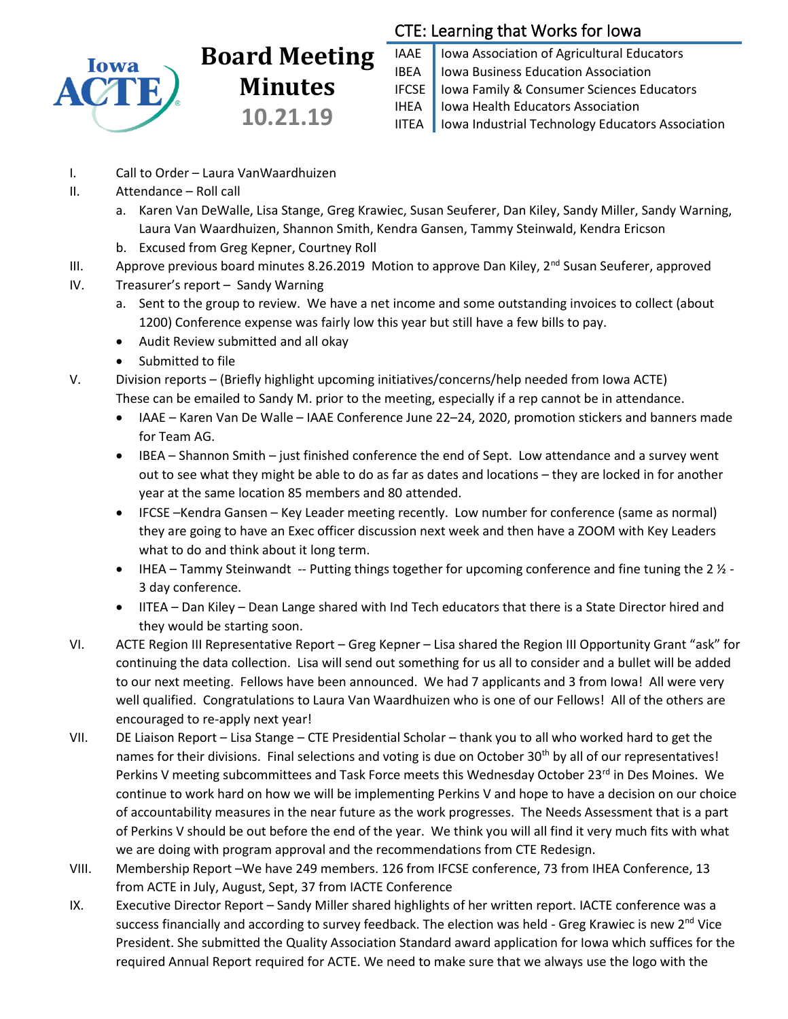

# **Board Meeting Minutes 10.21.19**

# CTE: Learning that Works for Iowa

IAAE | Iowa Association of Agricultural Educators IBEA | Iowa Business Education Association IFCSE Iowa Family & Consumer Sciences Educators IHEA | Iowa Health Educators Association IITEA | Iowa Industrial Technology Educators Association

- I. Call to Order Laura VanWaardhuizen
- II. Attendance Roll call
	- a. Karen Van DeWalle, Lisa Stange, Greg Krawiec, Susan Seuferer, Dan Kiley, Sandy Miller, Sandy Warning, Laura Van Waardhuizen, Shannon Smith, Kendra Gansen, Tammy Steinwald, Kendra Ericson
	- b. Excused from Greg Kepner, Courtney Roll
- III. Approve previous board minutes 8.26.2019 Motion to approve Dan Kiley, 2<sup>nd</sup> Susan Seuferer, approved
- IV. Treasurer's report Sandy Warning
	- a. Sent to the group to review. We have a net income and some outstanding invoices to collect (about 1200) Conference expense was fairly low this year but still have a few bills to pay.
	- Audit Review submitted and all okay
	- Submitted to file

V. Division reports – (Briefly highlight upcoming initiatives/concerns/help needed from Iowa ACTE) These can be emailed to Sandy M. prior to the meeting, especially if a rep cannot be in attendance.

- IAAE Karen Van De Walle IAAE Conference June 22–24, 2020, promotion stickers and banners made for Team AG.
- IBEA Shannon Smith just finished conference the end of Sept. Low attendance and a survey went out to see what they might be able to do as far as dates and locations – they are locked in for another year at the same location 85 members and 80 attended.
- IFCSE –Kendra Gansen Key Leader meeting recently. Low number for conference (same as normal) they are going to have an Exec officer discussion next week and then have a ZOOM with Key Leaders what to do and think about it long term.
- IHEA Tammy Steinwandt -- Putting things together for upcoming conference and fine tuning the 2  $\frac{1}{2}$  -3 day conference.
- IITEA Dan Kiley Dean Lange shared with Ind Tech educators that there is a State Director hired and they would be starting soon.
- VI. ACTE Region III Representative Report Greg Kepner Lisa shared the Region III Opportunity Grant "ask" for continuing the data collection. Lisa will send out something for us all to consider and a bullet will be added to our next meeting. Fellows have been announced. We had 7 applicants and 3 from lowa! All were very well qualified. Congratulations to Laura Van Waardhuizen who is one of our Fellows! All of the others are encouraged to re-apply next year!
- VII. DE Liaison Report Lisa Stange CTE Presidential Scholar thank you to all who worked hard to get the names for their divisions. Final selections and voting is due on October 30<sup>th</sup> by all of our representatives! Perkins V meeting subcommittees and Task Force meets this Wednesday October 23<sup>rd</sup> in Des Moines. We continue to work hard on how we will be implementing Perkins V and hope to have a decision on our choice of accountability measures in the near future as the work progresses. The Needs Assessment that is a part of Perkins V should be out before the end of the year. We think you will all find it very much fits with what we are doing with program approval and the recommendations from CTE Redesign.
- VIII. Membership Report –We have 249 members. 126 from IFCSE conference, 73 from IHEA Conference, 13 from ACTE in July, August, Sept, 37 from IACTE Conference
- IX. Executive Director Report Sandy Miller shared highlights of her written report. IACTE conference was a success financially and according to survey feedback. The election was held - Greg Krawiec is new 2<sup>nd</sup> Vice President. She submitted the Quality Association Standard award application for Iowa which suffices for the required Annual Report required for ACTE. We need to make sure that we always use the logo with the